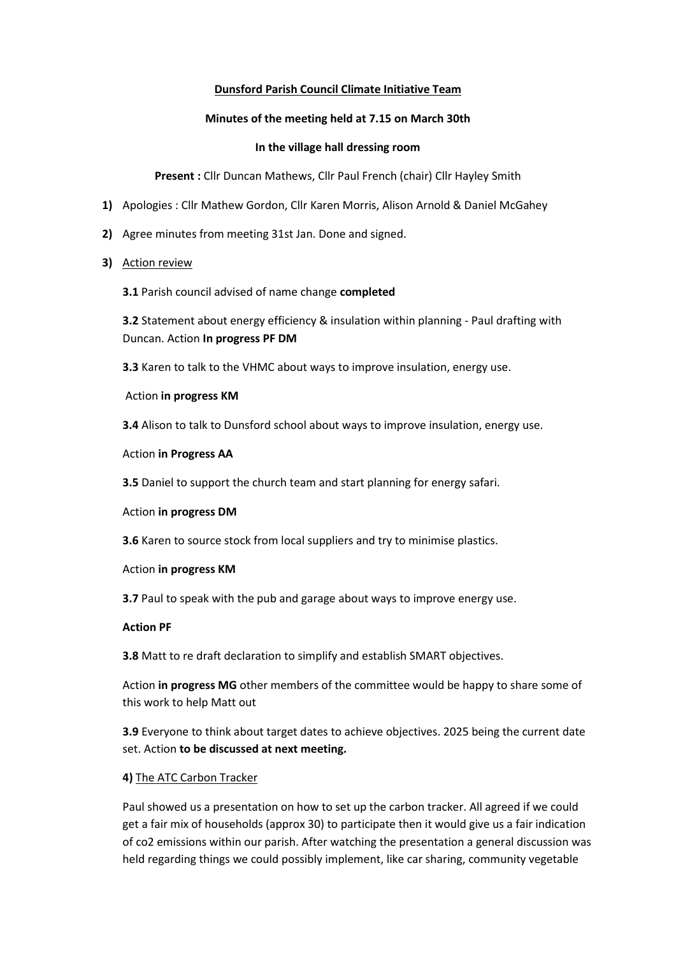## **Dunsford Parish Council Climate Initiative Team**

## **Minutes of the meeting held at 7.15 on March 30th**

## **In the village hall dressing room**

**Present :** Cllr Duncan Mathews, Cllr Paul French (chair) Cllr Hayley Smith

- **1)** Apologies : Cllr Mathew Gordon, Cllr Karen Morris, Alison Arnold & Daniel McGahey
- **2)** Agree minutes from meeting 31st Jan. Done and signed.
- **3)** Action review

**3.1** Parish council advised of name change **completed**

**3.2** Statement about energy efficiency & insulation within planning - Paul drafting with Duncan. Action **In progress PF DM**

**3.3** Karen to talk to the VHMC about ways to improve insulation, energy use.

Action **in progress KM**

**3.4** Alison to talk to Dunsford school about ways to improve insulation, energy use.

#### Action **in Progress AA**

**3.5** Daniel to support the church team and start planning for energy safari.

#### Action **in progress DM**

**3.6** Karen to source stock from local suppliers and try to minimise plastics.

#### Action **in progress KM**

**3.7** Paul to speak with the pub and garage about ways to improve energy use.

#### **Action PF**

**3.8** Matt to re draft declaration to simplify and establish SMART objectives.

Action **in progress MG** other members of the committee would be happy to share some of this work to help Matt out

**3.9** Everyone to think about target dates to achieve objectives. 2025 being the current date set. Action **to be discussed at next meeting.**

# **4)** The ATC Carbon Tracker

Paul showed us a presentation on how to set up the carbon tracker. All agreed if we could get a fair mix of households (approx 30) to participate then it would give us a fair indication of co2 emissions within our parish. After watching the presentation a general discussion was held regarding things we could possibly implement, like car sharing, community vegetable